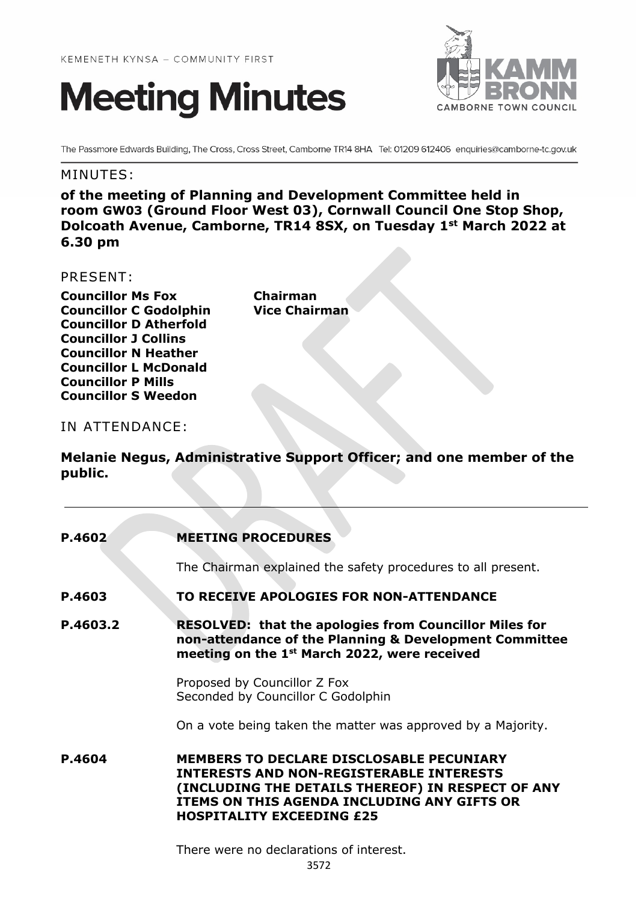



The Passmore Edwards Building, The Cross, Cross Street, Camborne TR14 8HA Tel: 01209 612406 enquiries@camborne-tc.gov.uk

## MINUTES:

**of the meeting of Planning and Development Committee held in room GW03 (Ground Floor West 03), Cornwall Council One Stop Shop, Dolcoath Avenue, Camborne, TR14 8SX, on Tuesday 1st March 2022 at 6.30 pm**

## PRESENT:

**Councillor Ms Fox Chairman Councillor C Godolphin Vice Chairman Councillor D Atherfold Councillor J Collins Councillor N Heather Councillor L McDonald Councillor P Mills Councillor S Weedon**

## IN ATTENDANCE:

**Melanie Negus, Administrative Support Officer; and one member of the public.**

| P.4602   | <b>MEETING PROCEDURES</b>                                                                                                                                                                                                                  |
|----------|--------------------------------------------------------------------------------------------------------------------------------------------------------------------------------------------------------------------------------------------|
|          | The Chairman explained the safety procedures to all present.                                                                                                                                                                               |
| P.4603   | TO RECEIVE APOLOGIES FOR NON-ATTENDANCE                                                                                                                                                                                                    |
| P.4603.2 | <b>RESOLVED: that the apologies from Councillor Miles for</b><br>non-attendance of the Planning & Development Committee<br>meeting on the 1 <sup>st</sup> March 2022, were received                                                        |
|          | Proposed by Councillor Z Fox<br>Seconded by Councillor C Godolphin                                                                                                                                                                         |
|          | On a vote being taken the matter was approved by a Majority.                                                                                                                                                                               |
| P.4604   | <b>MEMBERS TO DECLARE DISCLOSABLE PECUNIARY</b><br><b>INTERESTS AND NON-REGISTERABLE INTERESTS</b><br>(INCLUDING THE DETAILS THEREOF) IN RESPECT OF ANY<br>ITEMS ON THIS AGENDA INCLUDING ANY GIFTS OR<br><b>HOSPITALITY EXCEEDING £25</b> |
|          | There were no declarations of interest.                                                                                                                                                                                                    |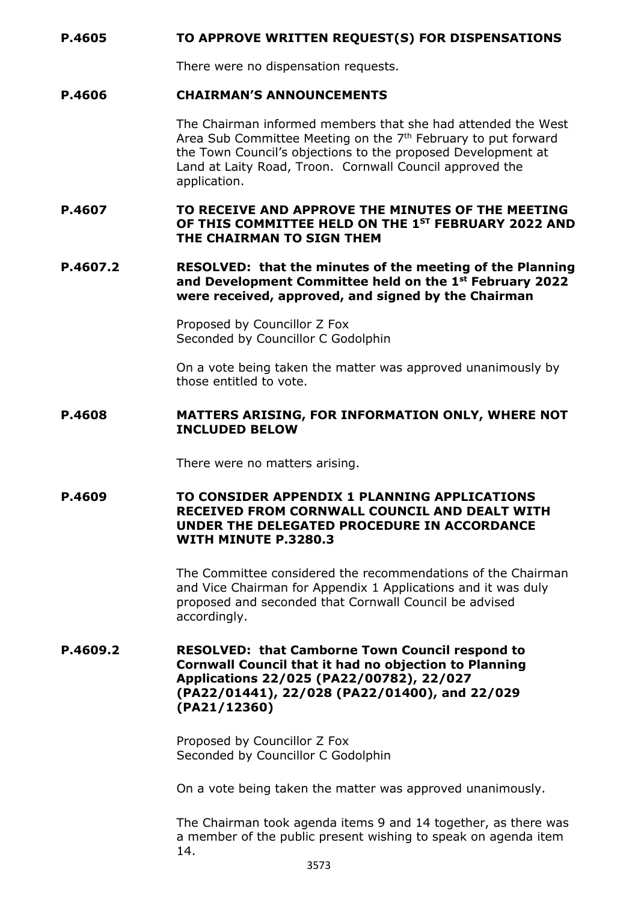#### **P.4605 TO APPROVE WRITTEN REQUEST(S) FOR DISPENSATIONS**

There were no dispensation requests.

#### **P.4606 CHAIRMAN'S ANNOUNCEMENTS**

The Chairman informed members that she had attended the West Area Sub Committee Meeting on the  $7<sup>th</sup>$  February to put forward the Town Council's objections to the proposed Development at Land at Laity Road, Troon. Cornwall Council approved the application.

#### **P.4607 TO RECEIVE AND APPROVE THE MINUTES OF THE MEETING OF THIS COMMITTEE HELD ON THE 1ST FEBRUARY 2022 AND THE CHAIRMAN TO SIGN THEM**

#### **P.4607.2 RESOLVED: that the minutes of the meeting of the Planning and Development Committee held on the 1st February 2022 were received, approved, and signed by the Chairman**

Proposed by Councillor Z Fox Seconded by Councillor C Godolphin

On a vote being taken the matter was approved unanimously by those entitled to vote.

#### **P.4608 MATTERS ARISING, FOR INFORMATION ONLY, WHERE NOT INCLUDED BELOW**

There were no matters arising.

**P.4609 TO CONSIDER APPENDIX 1 PLANNING APPLICATIONS RECEIVED FROM CORNWALL COUNCIL AND DEALT WITH UNDER THE DELEGATED PROCEDURE IN ACCORDANCE WITH MINUTE P.3280.3**

> The Committee considered the recommendations of the Chairman and Vice Chairman for Appendix 1 Applications and it was duly proposed and seconded that Cornwall Council be advised accordingly.

**P.4609.2 RESOLVED: that Camborne Town Council respond to Cornwall Council that it had no objection to Planning Applications 22/025 (PA22/00782), 22/027 (PA22/01441), 22/028 (PA22/01400), and 22/029 (PA21/12360)**

> Proposed by Councillor Z Fox Seconded by Councillor C Godolphin

On a vote being taken the matter was approved unanimously.

The Chairman took agenda items 9 and 14 together, as there was a member of the public present wishing to speak on agenda item 14.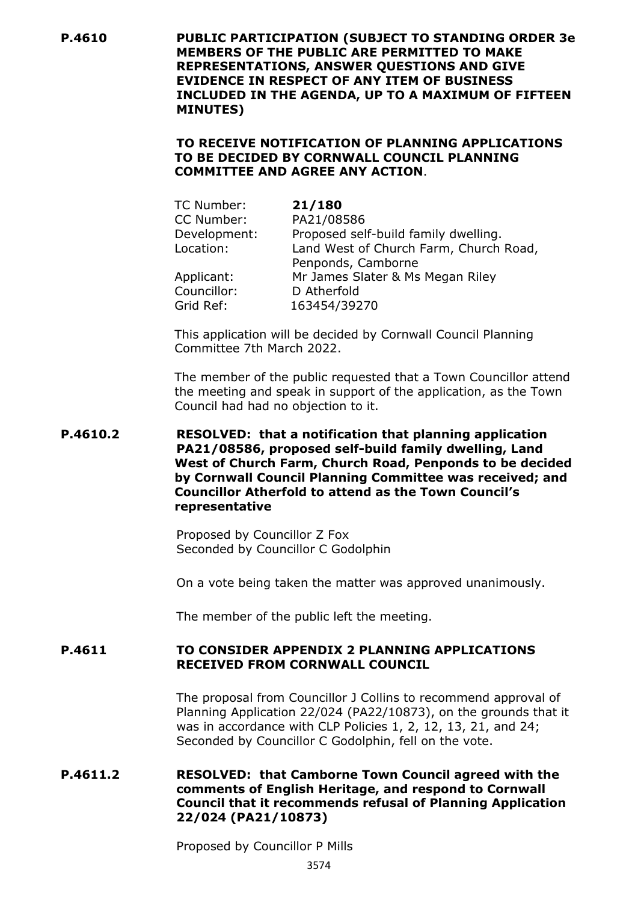**P.4610 PUBLIC PARTICIPATION (SUBJECT TO STANDING ORDER 3e MEMBERS OF THE PUBLIC ARE PERMITTED TO MAKE REPRESENTATIONS, ANSWER QUESTIONS AND GIVE EVIDENCE IN RESPECT OF ANY ITEM OF BUSINESS INCLUDED IN THE AGENDA, UP TO A MAXIMUM OF FIFTEEN MINUTES)**

### **TO RECEIVE NOTIFICATION OF PLANNING APPLICATIONS TO BE DECIDED BY CORNWALL COUNCIL PLANNING COMMITTEE AND AGREE ANY ACTION**.

| 21/180                                 |
|----------------------------------------|
| PA21/08586                             |
| Proposed self-build family dwelling.   |
| Land West of Church Farm, Church Road, |
| Penponds, Camborne                     |
| Mr James Slater & Ms Megan Riley       |
| D Atherfold                            |
| 163454/39270                           |
|                                        |

This application will be decided by Cornwall Council Planning Committee 7th March 2022.

The member of the public requested that a Town Councillor attend the meeting and speak in support of the application, as the Town Council had had no objection to it.

### **P.4610.2 RESOLVED: that a notification that planning application PA21/08586, proposed self-build family dwelling, Land West of Church Farm, Church Road, Penponds to be decided by Cornwall Council Planning Committee was received; and Councillor Atherfold to attend as the Town Council's representative**

Proposed by Councillor Z Fox Seconded by Councillor C Godolphin

On a vote being taken the matter was approved unanimously.

The member of the public left the meeting.

## **P.4611 TO CONSIDER APPENDIX 2 PLANNING APPLICATIONS RECEIVED FROM CORNWALL COUNCIL**

The proposal from Councillor J Collins to recommend approval of Planning Application 22/024 (PA22/10873), on the grounds that it was in accordance with CLP Policies 1, 2, 12, 13, 21, and 24; Seconded by Councillor C Godolphin, fell on the vote.

### **P.4611.2 RESOLVED: that Camborne Town Council agreed with the comments of English Heritage, and respond to Cornwall Council that it recommends refusal of Planning Application 22/024 (PA21/10873)**

Proposed by Councillor P Mills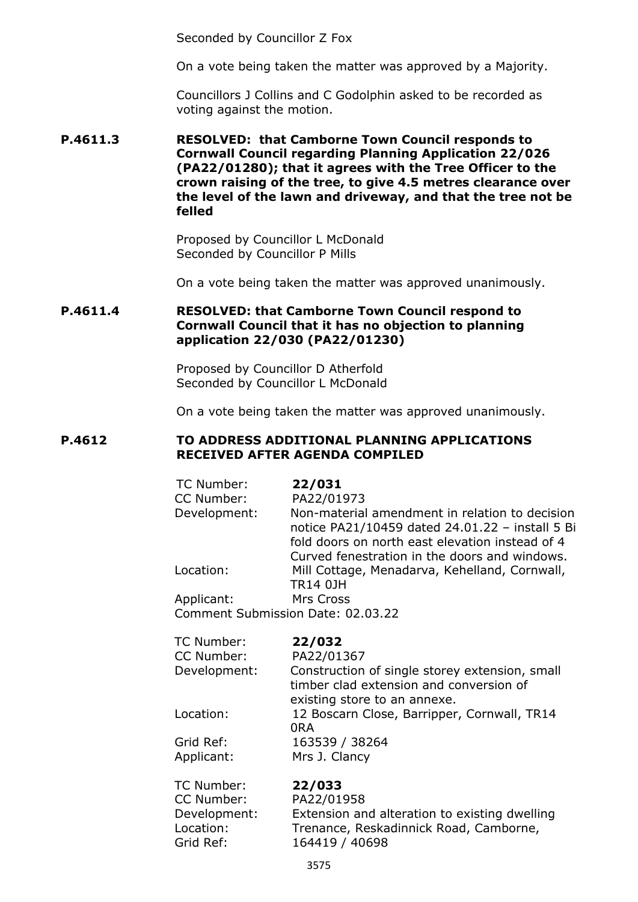Seconded by Councillor Z Fox

On a vote being taken the matter was approved by a Majority.

Councillors J Collins and C Godolphin asked to be recorded as voting against the motion.

#### **P.4611.3 RESOLVED: that Camborne Town Council responds to Cornwall Council regarding Planning Application 22/026 (PA22/01280); that it agrees with the Tree Officer to the crown raising of the tree, to give 4.5 metres clearance over the level of the lawn and driveway, and that the tree not be felled**

Proposed by Councillor L McDonald Seconded by Councillor P Mills

On a vote being taken the matter was approved unanimously.

## **P.4611.4 RESOLVED: that Camborne Town Council respond to Cornwall Council that it has no objection to planning application 22/030 (PA22/01230)**

Proposed by Councillor D Atherfold Seconded by Councillor L McDonald

On a vote being taken the matter was approved unanimously.

#### **P.4612 TO ADDRESS ADDITIONAL PLANNING APPLICATIONS RECEIVED AFTER AGENDA COMPILED**

| TC Number:                 | 22/031                                                       |
|----------------------------|--------------------------------------------------------------|
| CC Number:<br>Development: | PA22/01973<br>Non-material amendment in relation to decision |
|                            | notice PA21/10459 dated 24.01.22 - install 5 Bi              |
|                            | fold doors on north east elevation instead of 4              |
|                            | Curved fenestration in the doors and windows.                |
| Location:                  | Mill Cottage, Menadarva, Kehelland, Cornwall,                |
|                            | TR14 0JH                                                     |
| Applicant:                 | Mrs Cross<br>Comment Submission Date: 02.03.22               |
|                            |                                                              |
| TC Number:                 | 22/032                                                       |
| CC Number:                 | PA22/01367                                                   |
| Development:               | Construction of single storey extension, small               |
|                            | timber clad extension and conversion of                      |
|                            | existing store to an annexe.                                 |
| Location:                  | 12 Boscarn Close, Barripper, Cornwall, TR14<br>0RA           |
| Grid Ref:                  | 163539 / 38264                                               |
| Applicant:                 | Mrs J. Clancy                                                |
| TC Number:                 | 22/033                                                       |
| CC Number:                 | PA22/01958                                                   |
| Development:               | Extension and alteration to existing dwelling                |
| Location:                  | Trenance, Reskadinnick Road, Camborne,                       |
| Grid Ref:                  | 164419 / 40698                                               |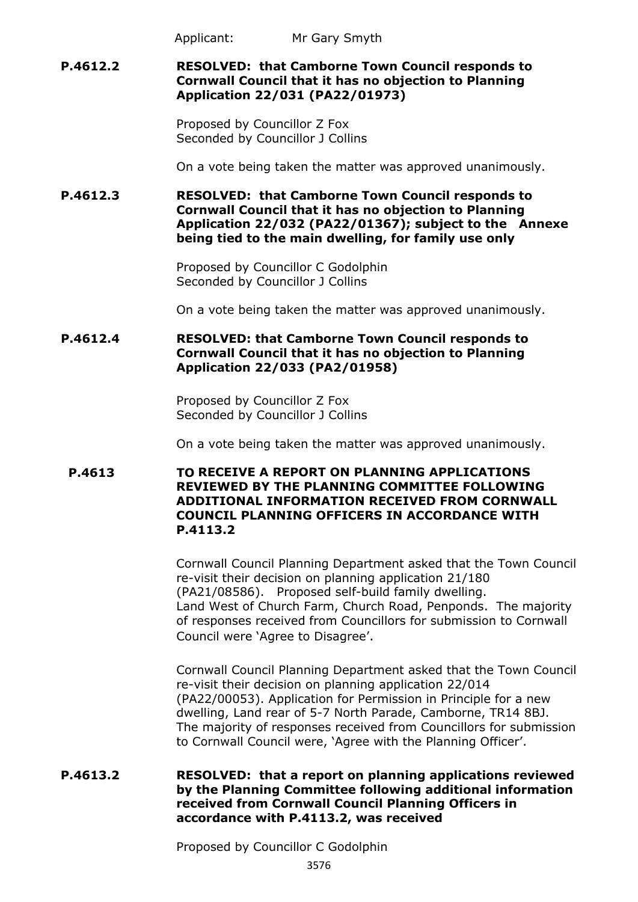Applicant: Mr Gary Smyth

## **P.4612.2 RESOLVED: that Camborne Town Council responds to Cornwall Council that it has no objection to Planning Application 22/031 (PA22/01973)**

Proposed by Councillor Z Fox Seconded by Councillor J Collins

On a vote being taken the matter was approved unanimously.

**P.4612.3 RESOLVED: that Camborne Town Council responds to Cornwall Council that it has no objection to Planning Application 22/032 (PA22/01367); subject to the Annexe being tied to the main dwelling, for family use only**

> Proposed by Councillor C Godolphin Seconded by Councillor J Collins

On a vote being taken the matter was approved unanimously.

## **P.4612.4 RESOLVED: that Camborne Town Council responds to Cornwall Council that it has no objection to Planning Application 22/033 (PA2/01958)**

Proposed by Councillor Z Fox Seconded by Councillor J Collins

On a vote being taken the matter was approved unanimously.

## **P.4613 TO RECEIVE A REPORT ON PLANNING APPLICATIONS REVIEWED BY THE PLANNING COMMITTEE FOLLOWING ADDITIONAL INFORMATION RECEIVED FROM CORNWALL COUNCIL PLANNING OFFICERS IN ACCORDANCE WITH P.4113.2**

Cornwall Council Planning Department asked that the Town Council re-visit their decision on planning application 21/180 (PA21/08586). Proposed self-build family dwelling. Land West of Church Farm, Church Road, Penponds. The majority of responses received from Councillors for submission to Cornwall Council were 'Agree to Disagree'.

Cornwall Council Planning Department asked that the Town Council re-visit their decision on planning application 22/014 (PA22/00053). Application for Permission in Principle for a new dwelling, Land rear of 5-7 North Parade, Camborne, TR14 8BJ. The majority of responses received from Councillors for submission to Cornwall Council were, 'Agree with the Planning Officer'.

## **P.4613.2 RESOLVED: that a report on planning applications reviewed by the Planning Committee following additional information received from Cornwall Council Planning Officers in accordance with P.4113.2, was received**

Proposed by Councillor C Godolphin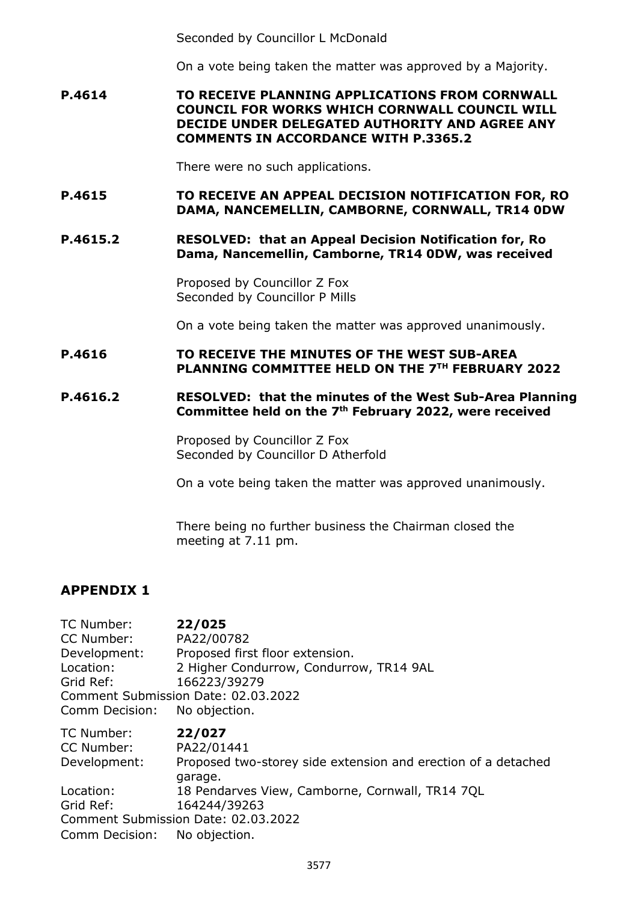Seconded by Councillor L McDonald

On a vote being taken the matter was approved by a Majority.

**P.4614 TO RECEIVE PLANNING APPLICATIONS FROM CORNWALL COUNCIL FOR WORKS WHICH CORNWALL COUNCIL WILL DECIDE UNDER DELEGATED AUTHORITY AND AGREE ANY COMMENTS IN ACCORDANCE WITH P.3365.2**

There were no such applications.

- **P.4615 TO RECEIVE AN APPEAL DECISION NOTIFICATION FOR, RO DAMA, NANCEMELLIN, CAMBORNE, CORNWALL, TR14 0DW**
- **P.4615.2 RESOLVED: that an Appeal Decision Notification for, Ro Dama, Nancemellin, Camborne, TR14 0DW, was received**

Proposed by Councillor Z Fox Seconded by Councillor P Mills

On a vote being taken the matter was approved unanimously.

### **P.4616 TO RECEIVE THE MINUTES OF THE WEST SUB-AREA PLANNING COMMITTEE HELD ON THE 7TH FEBRUARY 2022**

## **P.4616.2 RESOLVED: that the minutes of the West Sub-Area Planning Committee held on the 7th February 2022, were received**

Proposed by Councillor Z Fox Seconded by Councillor D Atherfold

On a vote being taken the matter was approved unanimously.

There being no further business the Chairman closed the meeting at 7.11 pm.

## **APPENDIX 1**

TC Number: **22/025**  CC Number: PA22/00782 Development: Proposed first floor extension. Location: 2 Higher Condurrow, Condurrow, TR14 9AL Grid Ref: 166223/39279 Comment Submission Date: 02.03.2022 Comm Decision: No objection. TC Number: **22/027**  CC Number: PA22/01441 Development: Proposed two-storey side extension and erection of a detached garage.

Location: 18 Pendarves View, Camborne, Cornwall, TR14 7QL

Grid Ref: 164244/39263 Comment Submission Date: 02.03.2022

Comm Decision: No objection.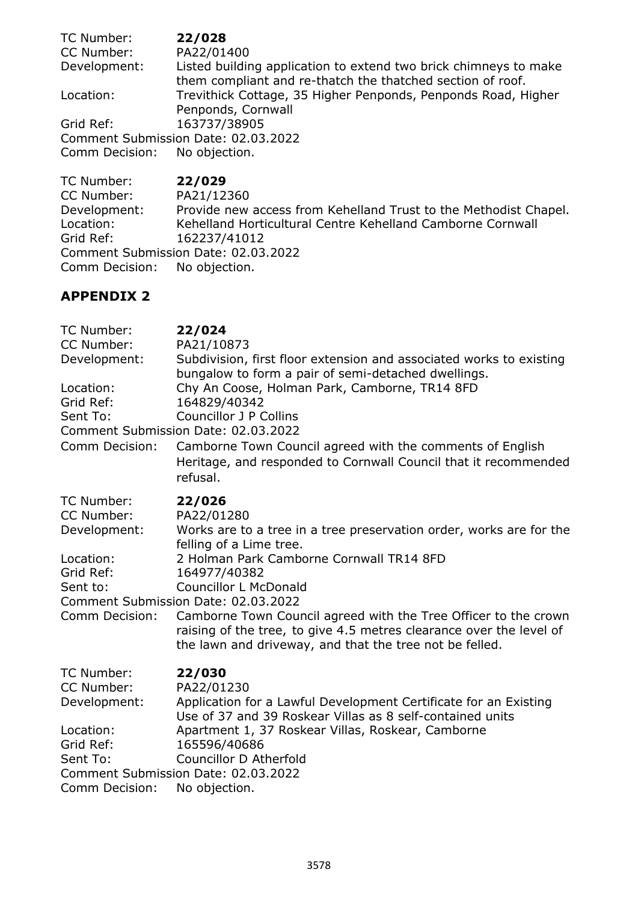| TC Number:                          | 22/028                                                                                                                         |  |  |  |
|-------------------------------------|--------------------------------------------------------------------------------------------------------------------------------|--|--|--|
| CC Number:                          | PA22/01400                                                                                                                     |  |  |  |
| Development:                        | Listed building application to extend two brick chimneys to make<br>them compliant and re-thatch the thatched section of roof. |  |  |  |
| Location:                           | Trevithick Cottage, 35 Higher Penponds, Penponds Road, Higher<br>Penponds, Cornwall                                            |  |  |  |
| Grid Ref:                           | 163737/38905                                                                                                                   |  |  |  |
| Comment Submission Date: 02.03.2022 |                                                                                                                                |  |  |  |
| Comm Decision: No objection.        |                                                                                                                                |  |  |  |

TC Number: **22/029**  CC Number: PA21/12360<br>Development: Provide new Development: Provide new access from Kehelland Trust to the Methodist Chapel.<br>
Location: Kehelland Horticultural Centre Kehelland Camborne Cornwall Kehelland Horticultural Centre Kehelland Camborne Cornwall Grid Ref: 162237/41012 Comment Submission Date: 02.03.2022<br>Comm Decision: No objection. Comm Decision:

# **APPENDIX 2**

| TC Number:            | 22/024                                                                                                                                                                                            |
|-----------------------|---------------------------------------------------------------------------------------------------------------------------------------------------------------------------------------------------|
| CC Number:            | PA21/10873                                                                                                                                                                                        |
| Development:          | Subdivision, first floor extension and associated works to existing<br>bungalow to form a pair of semi-detached dwellings.                                                                        |
| Location:             | Chy An Coose, Holman Park, Camborne, TR14 8FD                                                                                                                                                     |
| Grid Ref:             | 164829/40342                                                                                                                                                                                      |
| Sent To:              | <b>Councillor J P Collins</b>                                                                                                                                                                     |
|                       | Comment Submission Date: 02.03.2022                                                                                                                                                               |
| Comm Decision:        | Camborne Town Council agreed with the comments of English<br>Heritage, and responded to Cornwall Council that it recommended<br>refusal.                                                          |
| TC Number:            | 22/026                                                                                                                                                                                            |
| CC Number:            | PA22/01280                                                                                                                                                                                        |
| Development:          | Works are to a tree in a tree preservation order, works are for the<br>felling of a Lime tree.                                                                                                    |
| Location:             | 2 Holman Park Camborne Cornwall TR14 8FD                                                                                                                                                          |
| Grid Ref:             | 164977/40382                                                                                                                                                                                      |
| Sent to:              | <b>Councillor L McDonald</b>                                                                                                                                                                      |
|                       | Comment Submission Date: 02.03.2022                                                                                                                                                               |
| <b>Comm Decision:</b> | Camborne Town Council agreed with the Tree Officer to the crown<br>raising of the tree, to give 4.5 metres clearance over the level of<br>the lawn and driveway, and that the tree not be felled. |
| TC Number:            | 22/030                                                                                                                                                                                            |
| CC Number:            | PA22/01230                                                                                                                                                                                        |
| Development:          | Application for a Lawful Development Certificate for an Existing<br>Use of 37 and 39 Roskear Villas as 8 self-contained units                                                                     |
| Location:             | Apartment 1, 37 Roskear Villas, Roskear, Camborne                                                                                                                                                 |
| Grid Ref:             | 165596/40686                                                                                                                                                                                      |
| Sent To:              | Councillor D Atherfold                                                                                                                                                                            |
|                       | Comment Submission Date: 02.03.2022                                                                                                                                                               |
| Comm Decision:        | No objection.                                                                                                                                                                                     |